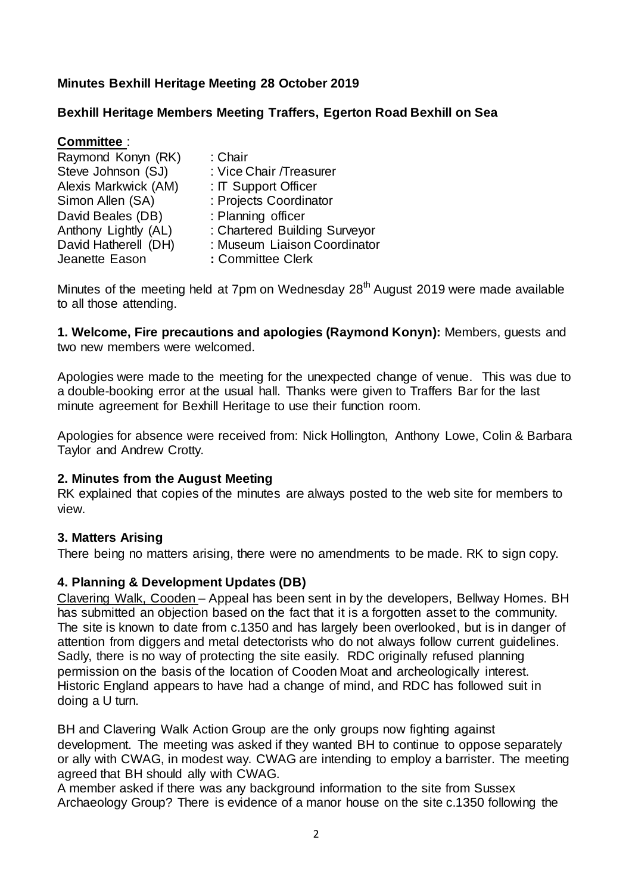# **Minutes Bexhill Heritage Meeting 28 October 2019**

### **Bexhill Heritage Members Meeting Traffers, Egerton Road Bexhill on Sea**

| <b>Committee:</b>    |                               |
|----------------------|-------------------------------|
| Raymond Konyn (RK)   | : Chair                       |
| Steve Johnson (SJ)   | : Vice Chair / Treasurer      |
| Alexis Markwick (AM) | : IT Support Officer          |
| Simon Allen (SA)     | : Projects Coordinator        |
| David Beales (DB)    | : Planning officer            |
| Anthony Lightly (AL) | : Chartered Building Surveyor |
| David Hatherell (DH) | : Museum Liaison Coordinator  |
| Jeanette Eason       | : Committee Clerk             |

Minutes of the meeting held at 7pm on Wednesday 28<sup>th</sup> August 2019 were made available to all those attending.

**1. Welcome, Fire precautions and apologies (Raymond Konyn):** Members, guests and two new members were welcomed.

Apologies were made to the meeting for the unexpected change of venue. This was due to a double-booking error at the usual hall. Thanks were given to Traffers Bar for the last minute agreement for Bexhill Heritage to use their function room.

Apologies for absence were received from: Nick Hollington, Anthony Lowe, Colin & Barbara Taylor and Andrew Crotty.

### **2. Minutes from the August Meeting**

RK explained that copies of the minutes are always posted to the web site for members to view.

### **3. Matters Arising**

There being no matters arising, there were no amendments to be made. RK to sign copy.

### **4. Planning & Development Updates (DB)**

Clavering Walk, Cooden – Appeal has been sent in by the developers, Bellway Homes. BH has submitted an objection based on the fact that it is a forgotten asset to the community. The site is known to date from c.1350 and has largely been overlooked, but is in danger of attention from diggers and metal detectorists who do not always follow current guidelines. Sadly, there is no way of protecting the site easily. RDC originally refused planning permission on the basis of the location of Cooden Moat and archeologically interest. Historic England appears to have had a change of mind, and RDC has followed suit in doing a U turn.

BH and Clavering Walk Action Group are the only groups now fighting against development. The meeting was asked if they wanted BH to continue to oppose separately or ally with CWAG, in modest way. CWAG are intending to employ a barrister. The meeting agreed that BH should ally with CWAG.

A member asked if there was any background information to the site from Sussex Archaeology Group? There is evidence of a manor house on the site c.1350 following the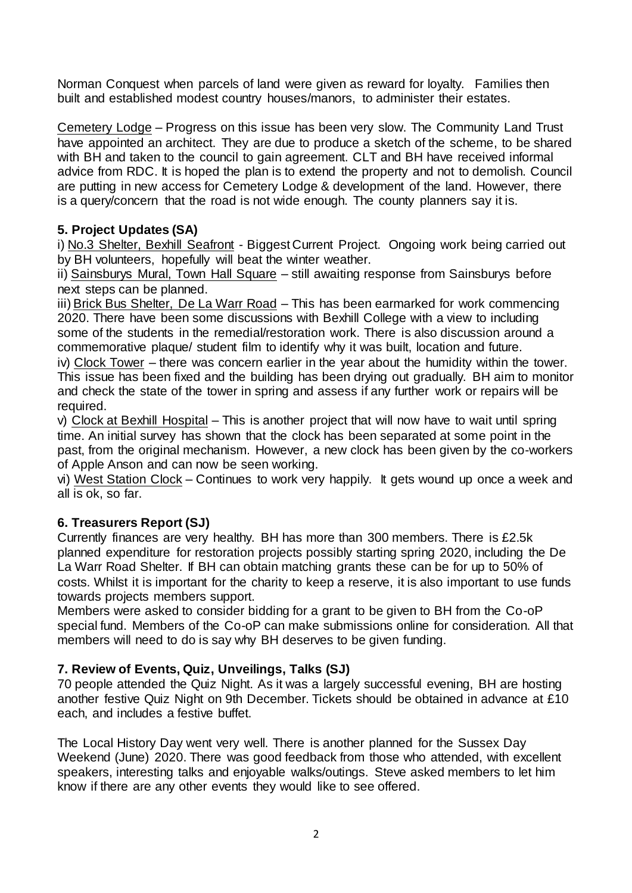Norman Conquest when parcels of land were given as reward for loyalty. Families then built and established modest country houses/manors, to administer their estates.

Cemetery Lodge – Progress on this issue has been very slow. The Community Land Trust have appointed an architect. They are due to produce a sketch of the scheme, to be shared with BH and taken to the council to gain agreement. CLT and BH have received informal advice from RDC. It is hoped the plan is to extend the property and not to demolish. Council are putting in new access for Cemetery Lodge & development of the land. However, there is a query/concern that the road is not wide enough. The county planners say it is.

# **5. Project Updates (SA)**

i) No.3 Shelter, Bexhill Seafront - Biggest Current Project. Ongoing work being carried out by BH volunteers, hopefully will beat the winter weather.

ii) Sainsburys Mural, Town Hall Square – still awaiting response from Sainsburys before next steps can be planned.

iii) Brick Bus Shelter, De La Warr Road – This has been earmarked for work commencing 2020. There have been some discussions with Bexhill College with a view to including some of the students in the remedial/restoration work. There is also discussion around a commemorative plaque/ student film to identify why it was built, location and future.

iv) Clock Tower – there was concern earlier in the year about the humidity within the tower. This issue has been fixed and the building has been drying out gradually. BH aim to monitor and check the state of the tower in spring and assess if any further work or repairs will be required.

v) Clock at Bexhill Hospital – This is another project that will now have to wait until spring time. An initial survey has shown that the clock has been separated at some point in the past, from the original mechanism. However, a new clock has been given by the co-workers of Apple Anson and can now be seen working.

vi) West Station Clock – Continues to work very happily. It gets wound up once a week and all is ok, so far.

# **6. Treasurers Report (SJ)**

Currently finances are very healthy. BH has more than 300 members. There is £2.5k planned expenditure for restoration projects possibly starting spring 2020, including the De La Warr Road Shelter. If BH can obtain matching grants these can be for up to 50% of costs. Whilst it is important for the charity to keep a reserve, it is also important to use funds towards projects members support.

Members were asked to consider bidding for a grant to be given to BH from the Co-oP special fund. Members of the Co-oP can make submissions online for consideration. All that members will need to do is say why BH deserves to be given funding.

### **7. Review of Events, Quiz, Unveilings, Talks (SJ)**

70 people attended the Quiz Night. As it was a largely successful evening, BH are hosting another festive Quiz Night on 9th December. Tickets should be obtained in advance at £10 each, and includes a festive buffet.

The Local History Day went very well. There is another planned for the Sussex Day Weekend (June) 2020. There was good feedback from those who attended, with excellent speakers, interesting talks and enjoyable walks/outings. Steve asked members to let him know if there are any other events they would like to see offered.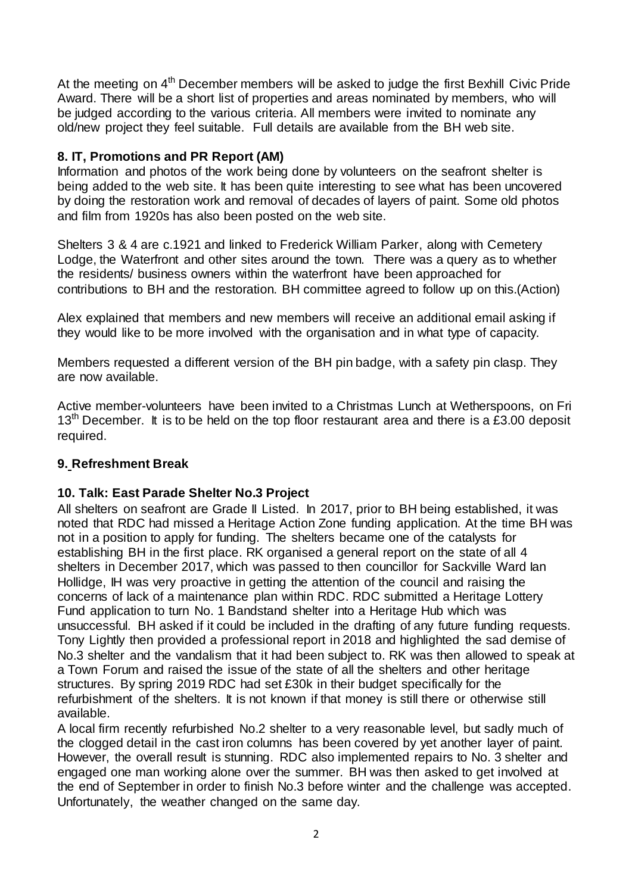At the meeting on 4<sup>th</sup> December members will be asked to judge the first Bexhill Civic Pride Award. There will be a short list of properties and areas nominated by members, who will be judged according to the various criteria. All members were invited to nominate any old/new project they feel suitable. Full details are available from the BH web site.

# **8. IT, Promotions and PR Report (AM)**

Information and photos of the work being done by volunteers on the seafront shelter is being added to the web site. It has been quite interesting to see what has been uncovered by doing the restoration work and removal of decades of layers of paint. Some old photos and film from 1920s has also been posted on the web site.

Shelters 3 & 4 are c.1921 and linked to Frederick William Parker, along with Cemetery Lodge, the Waterfront and other sites around the town. There was a query as to whether the residents/ business owners within the waterfront have been approached for contributions to BH and the restoration. BH committee agreed to follow up on this.(Action)

Alex explained that members and new members will receive an additional email asking if they would like to be more involved with the organisation and in what type of capacity.

Members requested a different version of the BH pin badge, with a safety pin clasp. They are now available.

Active member-volunteers have been invited to a Christmas Lunch at Wetherspoons, on Fri  $13<sup>th</sup>$  December. It is to be held on the top floor restaurant area and there is a £3.00 deposit required.

# **9. Refreshment Break**

# **10. Talk: East Parade Shelter No.3 Project**

All shelters on seafront are Grade II Listed. In 2017, prior to BH being established, it was noted that RDC had missed a Heritage Action Zone funding application. At the time BH was not in a position to apply for funding. The shelters became one of the catalysts for establishing BH in the first place. RK organised a general report on the state of all 4 shelters in December 2017, which was passed to then councillor for Sackville Ward Ian Hollidge, IH was very proactive in getting the attention of the council and raising the concerns of lack of a maintenance plan within RDC. RDC submitted a Heritage Lottery Fund application to turn No. 1 Bandstand shelter into a Heritage Hub which was unsuccessful. BH asked if it could be included in the drafting of any future funding requests. Tony Lightly then provided a professional report in 2018 and highlighted the sad demise of No.3 shelter and the vandalism that it had been subject to. RK was then allowed to speak at a Town Forum and raised the issue of the state of all the shelters and other heritage structures. By spring 2019 RDC had set £30k in their budget specifically for the refurbishment of the shelters. It is not known if that money is still there or otherwise still available.

A local firm recently refurbished No.2 shelter to a very reasonable level, but sadly much of the clogged detail in the cast iron columns has been covered by yet another layer of paint. However, the overall result is stunning. RDC also implemented repairs to No. 3 shelter and engaged one man working alone over the summer. BH was then asked to get involved at the end of September in order to finish No.3 before winter and the challenge was accepted. Unfortunately, the weather changed on the same day.